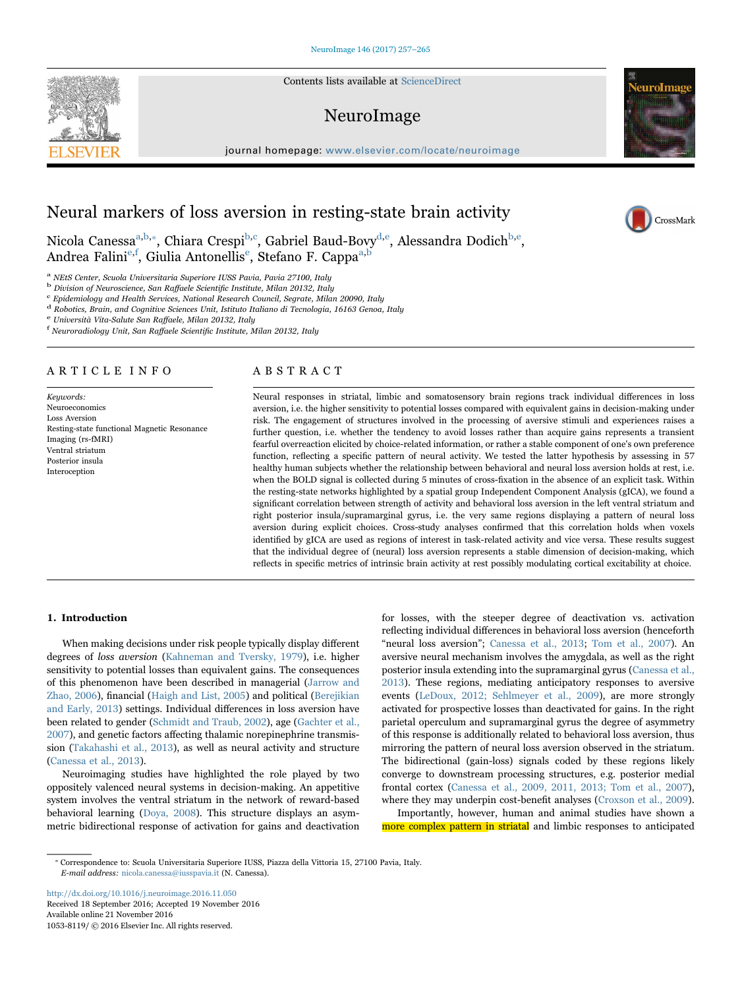Contents lists available at [ScienceDirect](http://www.sciencedirect.com/science/journal/10538119)

# NeuroImage

journal homepage: [www.elsevier.com/locate/neuroimage](http://www.elsevier.com/locate/neuroimage)



CrossMark

# Neural markers of loss aversion in resting-state brain activity

Nicola Canessa<sup>a[,b,](#page-0-1)</sup>\*, Chiara Crespi<sup>b,[c](#page-0-3)</sup>, Gabriel Baud-Bovy<sup>[d,](#page-0-4)[e](#page-0-5)</sup>, Alessandra Dodich<sup>[b](#page-0-1),e</sup>, Andr[e](#page-0-5)a Falini<sup>e[,f](#page-0-6)</sup>, Giulia Antonellis<sup>e</sup>, Stefano F. Cappa<sup>a[,b](#page-0-1)</sup>

<span id="page-0-0"></span><sup>a</sup> NEtS Center, Scuola Universitaria Superiore IUSS Pavia, Pavia 27100, Italy b Division of Neuroscience, San Raffaele Scientific Institute, Milan 20132, Italy

<span id="page-0-1"></span>

<span id="page-0-3"></span> $\rm ^c$  Epidemiology and Health Services, National Research Council, Segrate, Milan 20090, Italy

<span id="page-0-4"></span>d Robotics, Brain, and Cognitive Sciences Unit, Istituto Italiano di Tecnologia, 16163 Genoa, Italy e Università Vita-Salute San Raffaele, Milan 20132, Italy

<span id="page-0-5"></span>

<span id="page-0-6"></span>Neuroradiology Unit, San Raffaele Scientific Institute, Milan 20132, Italy

# ARTICLE INFO

Keywords: Neuroeconomics Loss Aversion Resting-state functional Magnetic Resonance Imaging (rs-fMRI) Ventral striatum Posterior insula Interoception

# ABSTRACT

Neural responses in striatal, limbic and somatosensory brain regions track individual differences in loss aversion, i.e. the higher sensitivity to potential losses compared with equivalent gains in decision-making under risk. The engagement of structures involved in the processing of aversive stimuli and experiences raises a further question, i.e. whether the tendency to avoid losses rather than acquire gains represents a transient fearful overreaction elicited by choice-related information, or rather a stable component of one's own preference function, reflecting a specific pattern of neural activity. We tested the latter hypothesis by assessing in 57 healthy human subjects whether the relationship between behavioral and neural loss aversion holds at rest, i.e. when the BOLD signal is collected during 5 minutes of cross-fixation in the absence of an explicit task. Within the resting-state networks highlighted by a spatial group Independent Component Analysis (gICA), we found a significant correlation between strength of activity and behavioral loss aversion in the left ventral striatum and right posterior insula/supramarginal gyrus, i.e. the very same regions displaying a pattern of neural loss aversion during explicit choices. Cross-study analyses confirmed that this correlation holds when voxels identified by gICA are used as regions of interest in task-related activity and vice versa. These results suggest that the individual degree of (neural) loss aversion represents a stable dimension of decision-making, which reflects in specific metrics of intrinsic brain activity at rest possibly modulating cortical excitability at choice.

# 1. Introduction

When making decisions under risk people typically display different degrees of loss aversion [\(Kahneman and Tversky, 1979](#page-7-0)), i.e. higher sensitivity to potential losses than equivalent gains. The consequences of this phenomenon have been described in managerial [\(Jarrow and](#page-7-1) [Zhao, 2006\)](#page-7-1), financial [\(Haigh and List, 2005](#page-7-2)) and political ([Berejikian](#page-7-3) [and Early, 2013](#page-7-3)) settings. Individual differences in loss aversion have been related to gender ([Schmidt and Traub, 2002](#page-8-0)), age ([Gachter et al.,](#page-7-4) [2007\)](#page-7-4), and genetic factors affecting thalamic norepinephrine transmission [\(Takahashi et al., 2013](#page-8-1)), as well as neural activity and structure ([Canessa et al., 2013](#page-7-5)).

Neuroimaging studies have highlighted the role played by two oppositely valenced neural systems in decision-making. An appetitive system involves the ventral striatum in the network of reward-based behavioral learning ([Doya, 2008](#page-7-6)). This structure displays an asymmetric bidirectional response of activation for gains and deactivation for losses, with the steeper degree of deactivation vs. activation reflecting individual differences in behavioral loss aversion (henceforth "neural loss aversion"; [Canessa et al., 2013;](#page-7-5) [Tom et al., 2007\)](#page-8-2). An aversive neural mechanism involves the amygdala, as well as the right posterior insula extending into the supramarginal gyrus ([Canessa et al.,](#page-7-5) [2013\)](#page-7-5). These regions, mediating anticipatory responses to aversive events ([LeDoux, 2012; Sehlmeyer et al., 2009\)](#page-7-7), are more strongly activated for prospective losses than deactivated for gains. In the right parietal operculum and supramarginal gyrus the degree of asymmetry of this response is additionally related to behavioral loss aversion, thus mirroring the pattern of neural loss aversion observed in the striatum. The bidirectional (gain-loss) signals coded by these regions likely converge to downstream processing structures, e.g. posterior medial frontal cortex [\(Canessa et al., 2009, 2011, 2013; Tom et al., 2007\)](#page-7-8), where they may underpin cost-benefit analyses [\(Croxson et al., 2009\)](#page-7-9).

Importantly, however, human and animal studies have shown a more complex pattern in striatal and limbic responses to anticipated

<http://dx.doi.org/10.1016/j.neuroimage.2016.11.050> Received 18 September 2016; Accepted 19 November 2016 1053-8119/ © 2016 Elsevier Inc. All rights reserved. Available online 21 November 2016



<span id="page-0-2"></span><sup>⁎</sup> Correspondence to: Scuola Universitaria Superiore IUSS, Piazza della Vittoria 15, 27100 Pavia, Italy. E-mail address: nicola.canessa@iusspavia.it (N. Canessa).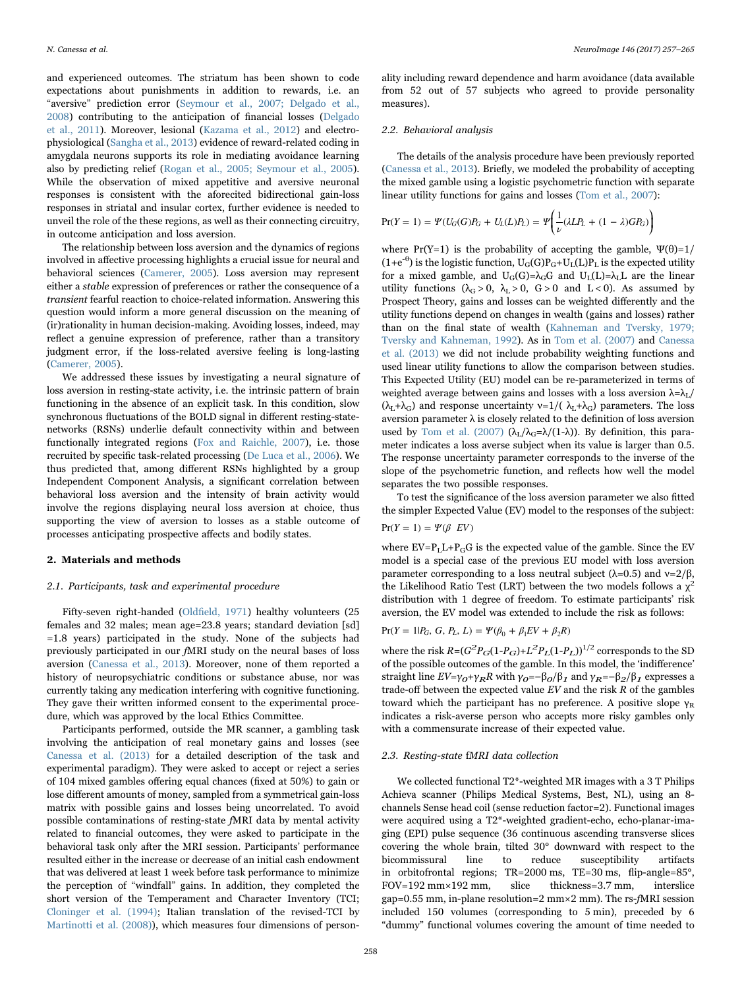and experienced outcomes. The striatum has been shown to code expectations about punishments in addition to rewards, i.e. an "aversive" prediction error ([Seymour et al., 2007; Delgado et al.,](#page-8-3) [2008\)](#page-8-3) contributing to the anticipation of financial losses ([Delgado](#page-7-10) [et al., 2011](#page-7-10)). Moreover, lesional [\(Kazama et al., 2012\)](#page-7-11) and electrophysiological ([Sangha et al., 2013](#page-8-4)) evidence of reward-related coding in amygdala neurons supports its role in mediating avoidance learning also by predicting relief ([Rogan et al., 2005; Seymour et al., 2005\)](#page-8-5). While the observation of mixed appetitive and aversive neuronal responses is consistent with the aforecited bidirectional gain-loss responses in striatal and insular cortex, further evidence is needed to unveil the role of the these regions, as well as their connecting circuitry, in outcome anticipation and loss aversion.

The relationship between loss aversion and the dynamics of regions involved in affective processing highlights a crucial issue for neural and behavioral sciences ([Camerer, 2005\)](#page-7-12). Loss aversion may represent either a stable expression of preferences or rather the consequence of a transient fearful reaction to choice-related information. Answering this question would inform a more general discussion on the meaning of (ir)rationality in human decision-making. Avoiding losses, indeed, may reflect a genuine expression of preference, rather than a transitory judgment error, if the loss-related aversive feeling is long-lasting ([Camerer, 2005\)](#page-7-12).

We addressed these issues by investigating a neural signature of loss aversion in resting-state activity, i.e. the intrinsic pattern of brain functioning in the absence of an explicit task. In this condition, slow synchronous fluctuations of the BOLD signal in different resting-statenetworks (RSNs) underlie default connectivity within and between functionally integrated regions [\(Fox and Raichle, 2007\)](#page-7-13), i.e. those recruited by specific task-related processing [\(De Luca et al., 2006\)](#page-7-14). We thus predicted that, among different RSNs highlighted by a group Independent Component Analysis, a significant correlation between behavioral loss aversion and the intensity of brain activity would involve the regions displaying neural loss aversion at choice, thus supporting the view of aversion to losses as a stable outcome of processes anticipating prospective affects and bodily states.

## 2. Materials and methods

#### 2.1. Participants, task and experimental procedure

Fifty-seven right-handed (Oldfi[eld, 1971\)](#page-7-15) healthy volunteers (25 females and 32 males; mean age=23.8 years; standard deviation [sd] =1.8 years) participated in the study. None of the subjects had previously participated in our fMRI study on the neural bases of loss aversion [\(Canessa et al., 2013\)](#page-7-5). Moreover, none of them reported a history of neuropsychiatric conditions or substance abuse, nor was currently taking any medication interfering with cognitive functioning. They gave their written informed consent to the experimental procedure, which was approved by the local Ethics Committee.

Participants performed, outside the MR scanner, a gambling task involving the anticipation of real monetary gains and losses (see [Canessa et al. \(2013\)](#page-7-5) for a detailed description of the task and experimental paradigm). They were asked to accept or reject a series of 104 mixed gambles offering equal chances (fixed at 50%) to gain or lose different amounts of money, sampled from a symmetrical gain-loss matrix with possible gains and losses being uncorrelated. To avoid possible contaminations of resting-state fMRI data by mental activity related to financial outcomes, they were asked to participate in the behavioral task only after the MRI session. Participants' performance resulted either in the increase or decrease of an initial cash endowment that was delivered at least 1 week before task performance to minimize the perception of "windfall" gains. In addition, they completed the short version of the Temperament and Character Inventory (TCI; [Cloninger et al. \(1994\)](#page-7-16); Italian translation of the revised-TCI by [Martinotti et al. \(2008\)\)](#page-7-17), which measures four dimensions of person-

ality including reward dependence and harm avoidance (data available from 52 out of 57 subjects who agreed to provide personality measures).

#### 2.2. Behavioral analysis

The details of the analysis procedure have been previously reported ([Canessa et al., 2013](#page-7-5)). Briefly, we modeled the probability of accepting the mixed gamble using a logistic psychometric function with separate linear utility functions for gains and losses [\(Tom et al., 2007\)](#page-8-2):

$$
Pr(Y = 1) = \Psi(U_G(G)P_G + U_L(L)P_L) = \Psi\left(\frac{1}{\nu}(\lambda L P_L + (1 - \lambda)GP_G)\right)
$$

where Pr(Y=1) is the probability of accepting the gamble,  $\Psi(\theta)=1/2$  $(1+e^{-\theta})$  is the logistic function,  $U_G(G)P_G+U_L(L)P_L$  is the expected utility for a mixed gamble, and  $U_G(G) = \lambda_G G$  and  $U_L(L) = \lambda_L L$  are the linear utility functions  $(\lambda_G > 0, \lambda_L > 0, G > 0 \text{ and } L < 0)$ . As assumed by Prospect Theory, gains and losses can be weighted differently and the utility functions depend on changes in wealth (gains and losses) rather than on the final state of wealth ([Kahneman and Tversky, 1979;](#page-7-0) [Tversky and Kahneman, 1992](#page-7-0)). As in [Tom et al. \(2007\)](#page-8-2) and [Canessa](#page-7-5) [et al. \(2013\)](#page-7-5) we did not include probability weighting functions and used linear utility functions to allow the comparison between studies. This Expected Utility (EU) model can be re-parameterized in terms of weighted average between gains and losses with a loss aversion  $\lambda = \lambda_L$ /  $(\lambda_L + \lambda_G)$  and response uncertainty  $v=1/(\lambda_L + \lambda_G)$  parameters. The loss aversion parameter  $\lambda$  is closely related to the definition of loss aversion used by [Tom et al. \(2007\)](#page-8-2) ( $\lambda_L/\lambda_G=\lambda/(1-\lambda)$ ). By definition, this parameter indicates a loss averse subject when its value is larger than 0.5. The response uncertainty parameter corresponds to the inverse of the slope of the psychometric function, and reflects how well the model separates the two possible responses.

To test the significance of the loss aversion parameter we also fitted the simpler Expected Value (EV) model to the responses of the subject:

$$
\Pr(Y = 1) = \Psi(\beta \, EV)
$$

where  $EV = P_L L + P_G G$  is the expected value of the gamble. Since the EV model is a special case of the previous EU model with loss aversion parameter corresponding to a loss neutral subject ( $λ=0.5$ ) and  $ν=2/β$ , the Likelihood Ratio Test (LRT) between the two models follows a  $\chi^2$ distribution with 1 degree of freedom. To estimate participants' risk aversion, the EV model was extended to include the risk as follows:

# $Pr(Y = 1 | P_G, G, P_L, L) = \Psi(\beta_0 + \beta_1 EV + \beta_2 R)$

where the risk  $R = (G^2 P_G(1-P_G) + L^2 P_L(1-P_L))^{1/2}$  corresponds to the SD of the possible outcomes of the gamble. In this model, the 'indifference' straight line  $EV=\gamma_0+\gamma_RR$  with  $\gamma_0=-\beta_0/\beta_1$  and  $\gamma_R=-\beta_2/\beta_1$  expresses a trade-off between the expected value  $EV$  and the risk  $R$  of the gambles toward which the participant has no preference. A positive slope  $\gamma_R$ indicates a risk-averse person who accepts more risky gambles only with a commensurate increase of their expected value.

# 2.3. Resting-state fMRI data collection

We collected functional T2\*-weighted MR images with a 3 T Philips Achieva scanner (Philips Medical Systems, Best, NL), using an 8 channels Sense head coil (sense reduction factor=2). Functional images were acquired using a T2\*-weighted gradient-echo, echo-planar-imaging (EPI) pulse sequence (36 continuous ascending transverse slices covering the whole brain, tilted 30° downward with respect to the bicommissural line to reduce susceptibility artifacts in orbitofrontal regions; TR=2000 ms, TE=30 ms, flip-angle=85°, FOV=192 mm×192 mm, slice thickness=3.7 mm, interslice gap=0.55 mm, in-plane resolution=2 mm×2 mm). The rs-fMRI session included 150 volumes (corresponding to 5 min), preceded by 6 "dummy" functional volumes covering the amount of time needed to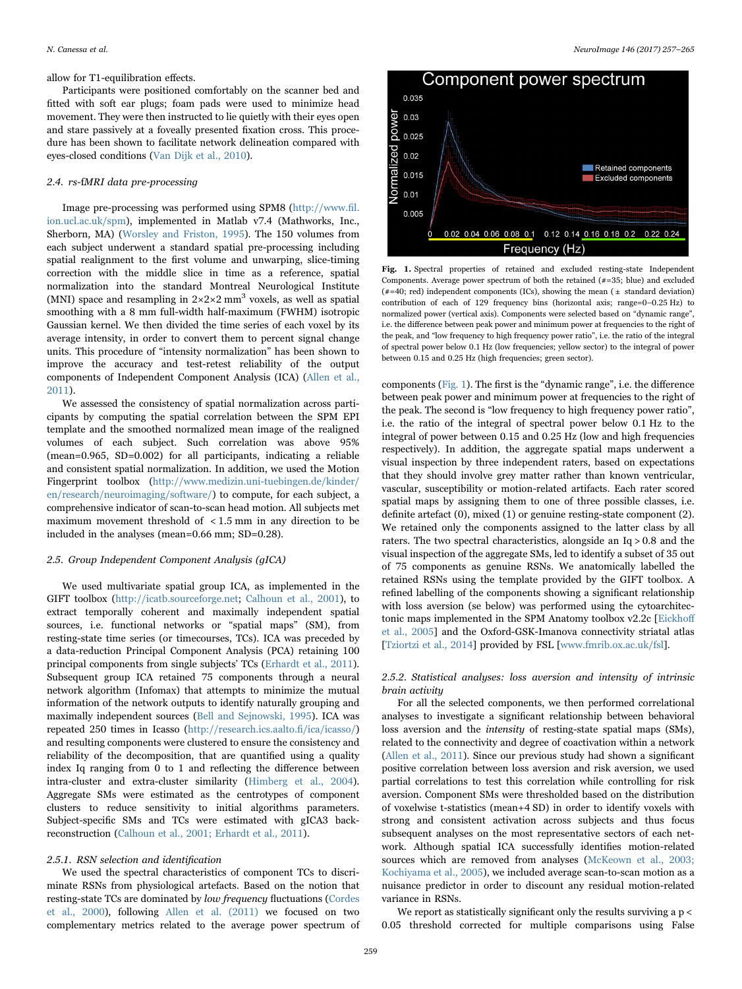allow for T1-equilibration effects.

Participants were positioned comfortably on the scanner bed and fitted with soft ear plugs; foam pads were used to minimize head movement. They were then instructed to lie quietly with their eyes open and stare passively at a foveally presented fixation cross. This procedure has been shown to facilitate network delineation compared with eyes-closed conditions [\(Van Dijk et al., 2010\)](#page-8-6).

## 2.4. rs-fMRI data pre-processing

Image pre-processing was performed using SPM8 [\(http://www.](http://www.fil.ion.ucl.ac.uk/spm)fil. [ion.ucl.ac.uk/spm](http://www.fil.ion.ucl.ac.uk/spm)), implemented in Matlab v7.4 (Mathworks, Inc., Sherborn, MA) [\(Worsley and Friston, 1995](#page-8-7)). The 150 volumes from each subject underwent a standard spatial pre-processing including spatial realignment to the first volume and unwarping, slice-timing correction with the middle slice in time as a reference, spatial normalization into the standard Montreal Neurological Institute (MNI) space and resampling in  $2 \times 2 \times 2$  mm<sup>3</sup> voxels, as well as spatial smoothing with a 8 mm full-width half-maximum (FWHM) isotropic Gaussian kernel. We then divided the time series of each voxel by its average intensity, in order to convert them to percent signal change units. This procedure of "intensity normalization" has been shown to improve the accuracy and test-retest reliability of the output components of Independent Component Analysis (ICA) [\(Allen et al.,](#page-7-18) [2011\)](#page-7-18).

We assessed the consistency of spatial normalization across participants by computing the spatial correlation between the SPM EPI template and the smoothed normalized mean image of the realigned volumes of each subject. Such correlation was above 95% (mean=0.965, SD=0.002) for all participants, indicating a reliable and consistent spatial normalization. In addition, we used the Motion Fingerprint toolbox ([http://www.medizin.uni-tuebingen.de/kinder/](http://www.medizin.uni-uebingen.de/kinder/en/research/neuroimaging/software/) [en/research/neuroimaging/software/](http://www.medizin.uni-uebingen.de/kinder/en/research/neuroimaging/software/)) to compute, for each subject, a comprehensive indicator of scan-to-scan head motion. All subjects met maximum movement threshold of < 1.5 mm in any direction to be included in the analyses (mean=0.66 mm; SD=0.28).

## 2.5. Group Independent Component Analysis (gICA)

We used multivariate spatial group ICA, as implemented in the GIFT toolbox (<http://icatb.sourceforge.net>; [Calhoun et al., 2001\)](#page-7-19), to extract temporally coherent and maximally independent spatial sources, i.e. functional networks or "spatial maps" (SM), from resting-state time series (or timecourses, TCs). ICA was preceded by a data-reduction Principal Component Analysis (PCA) retaining 100 principal components from single subjects' TCs ([Erhardt et al., 2011\)](#page-7-20). Subsequent group ICA retained 75 components through a neural network algorithm (Infomax) that attempts to minimize the mutual information of the network outputs to identify naturally grouping and maximally independent sources [\(Bell and Sejnowski, 1995](#page-7-21)). ICA was repeated 250 times in Icasso ([http://research.ics.aalto.](http://research.ics.aalto.fi/ica/icasso/)fi/ica/icasso/) and resulting components were clustered to ensure the consistency and reliability of the decomposition, that are quantified using a quality index Iq ranging from 0 to 1 and reflecting the difference between intra-cluster and extra-cluster similarity [\(Himberg et al., 2004\)](#page-7-22). Aggregate SMs were estimated as the centrotypes of component clusters to reduce sensitivity to initial algorithms parameters. Subject-specific SMs and TCs were estimated with gICA3 backreconstruction ([Calhoun et al., 2001; Erhardt et al., 2011](#page-7-19)).

#### 2.5.1. RSN selection and identification

We used the spectral characteristics of component TCs to discriminate RSNs from physiological artefacts. Based on the notion that resting-state TCs are dominated by low frequency fluctuations [\(Cordes](#page-7-23) [et al., 2000](#page-7-23)), following [Allen et al. \(2011\)](#page-7-18) we focused on two complementary metrics related to the average power spectrum of

<span id="page-2-0"></span>

Fig. 1. Spectral properties of retained and excluded resting-state Independent Components. Average power spectrum of both the retained (#=35; blue) and excluded  $(\text{\#}40; \text{ red})$  independent components (ICs), showing the mean (  $\pm$  standard deviation) contribution of each of 129 frequency bins (horizontal axis; range=0–0.25 Hz) to normalized power (vertical axis). Components were selected based on "dynamic range", i.e. the difference between peak power and minimum power at frequencies to the right of the peak, and "low frequency to high frequency power ratio", i.e. the ratio of the integral of spectral power below 0.1 Hz (low frequencies; yellow sector) to the integral of power between 0.15 and 0.25 Hz (high frequencies; green sector).

components ([Fig. 1\)](#page-2-0). The first is the "dynamic range", i.e. the difference between peak power and minimum power at frequencies to the right of the peak. The second is "low frequency to high frequency power ratio", i.e. the ratio of the integral of spectral power below 0.1 Hz to the integral of power between 0.15 and 0.25 Hz (low and high frequencies respectively). In addition, the aggregate spatial maps underwent a visual inspection by three independent raters, based on expectations that they should involve grey matter rather than known ventricular, vascular, susceptibility or motion-related artifacts. Each rater scored spatial maps by assigning them to one of three possible classes, i.e. definite artefact (0), mixed (1) or genuine resting-state component (2). We retained only the components assigned to the latter class by all raters. The two spectral characteristics, alongside an Iq > 0.8 and the visual inspection of the aggregate SMs, led to identify a subset of 35 out of 75 components as genuine RSNs. We anatomically labelled the retained RSNs using the template provided by the GIFT toolbox. A refined labelling of the components showing a significant relationship with loss aversion (se below) was performed using the cytoarchitectonic maps implemented in the SPM Anatomy toolbox v2.2c [\[Eickho](#page-7-24)ff [et al., 2005](#page-7-24)] and the Oxford-GSK-Imanova connectivity striatal atlas [[Tziortzi et al., 2014\]](#page-8-8) provided by FSL [\[www.fmrib.ox.ac.uk/fsl\]](http://www.fmrib.ox.ac.uk/fsl).

# 2.5.2. Statistical analyses: loss aversion and intensity of intrinsic brain activity

For all the selected components, we then performed correlational analyses to investigate a significant relationship between behavioral loss aversion and the intensity of resting-state spatial maps (SMs), related to the connectivity and degree of coactivation within a network ([Allen et al., 2011\)](#page-7-18). Since our previous study had shown a significant positive correlation between loss aversion and risk aversion, we used partial correlations to test this correlation while controlling for risk aversion. Component SMs were thresholded based on the distribution of voxelwise t-statistics (mean+4 SD) in order to identify voxels with strong and consistent activation across subjects and thus focus subsequent analyses on the most representative sectors of each network. Although spatial ICA successfully identifies motion-related sources which are removed from analyses ([McKeown et al., 2003;](#page-7-25) [Kochiyama et al., 2005\)](#page-7-25), we included average scan-to-scan motion as a nuisance predictor in order to discount any residual motion-related variance in RSNs.

We report as statistically significant only the results surviving a p < 0.05 threshold corrected for multiple comparisons using False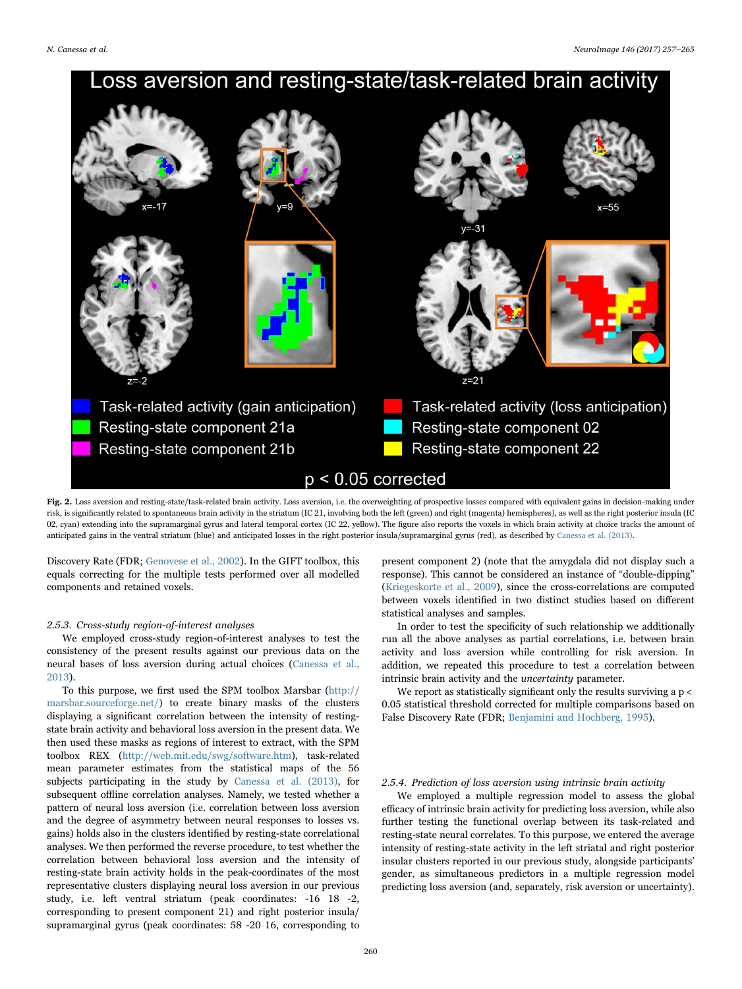# <span id="page-3-0"></span>Loss aversion and resting-state/task-related brain activity  $7=21$ Task-related activity (gain anticipation) Task-related activity (loss anticipation) Resting-state component 21a Resting-state component 02 Resting-state component 22 Resting-state component 21b  $p < 0.05$  corrected

Fig. 2. Loss aversion and resting-state/task-related brain activity. Loss aversion, i.e. the overweighting of prospective losses compared with equivalent gains in decision-making under risk, is significantly related to spontaneous brain activity in the striatum (IC 21, involving both the left (green) and right (magenta) hemispheres), as well as the right posterior insula (IC 02, cyan) extending into the supramarginal gyrus and lateral temporal cortex (IC 22, yellow). The figure also reports the voxels in which brain activity at choice tracks the amount of anticipated gains in the ventral striatum (blue) and anticipated losses in the right posterior insula/supramarginal gyrus (red), as described by [Canessa et al. \(2013\).](#page-7-5)

Discovery Rate (FDR; [Genovese et al., 2002\)](#page-7-26). In the GIFT toolbox, this equals correcting for the multiple tests performed over all modelled components and retained voxels.

#### 2.5.3. Cross-study region-of-interest analyses

We employed cross-study region-of-interest analyses to test the consistency of the present results against our previous data on the neural bases of loss aversion during actual choices ([Canessa et al.,](#page-7-5) [2013\)](#page-7-5).

To this purpose, we first used the SPM toolbox Marsbar ([http://](http://marsbar.sourceforge.net/) [marsbar.sourceforge.net/\)](http://marsbar.sourceforge.net/) to create binary masks of the clusters displaying a significant correlation between the intensity of restingstate brain activity and behavioral loss aversion in the present data. We then used these masks as regions of interest to extract, with the SPM toolbox REX [\(http://web.mit.edu/swg/software.htm](http://web.mit.edu/swg/software.htm)), task-related mean parameter estimates from the statistical maps of the 56 subjects participating in the study by [Canessa et al. \(2013\)](#page-7-5), for subsequent offline correlation analyses. Namely, we tested whether a pattern of neural loss aversion (i.e. correlation between loss aversion and the degree of asymmetry between neural responses to losses vs. gains) holds also in the clusters identified by resting-state correlational analyses. We then performed the reverse procedure, to test whether the correlation between behavioral loss aversion and the intensity of resting-state brain activity holds in the peak-coordinates of the most representative clusters displaying neural loss aversion in our previous study, i.e. left ventral striatum (peak coordinates: -16 18 -2, corresponding to present component 21) and right posterior insula/ supramarginal gyrus (peak coordinates: 58 -20 16, corresponding to

present component 2) (note that the amygdala did not display such a response). This cannot be considered an instance of "double-dipping" ([Kriegeskorte et al., 2009\)](#page-7-27), since the cross-correlations are computed between voxels identified in two distinct studies based on different statistical analyses and samples.

In order to test the specificity of such relationship we additionally run all the above analyses as partial correlations, i.e. between brain activity and loss aversion while controlling for risk aversion. In addition, we repeated this procedure to test a correlation between intrinsic brain activity and the uncertainty parameter.

We report as statistically significant only the results surviving a  $p <$ 0.05 statistical threshold corrected for multiple comparisons based on False Discovery Rate (FDR; [Benjamini and Hochberg, 1995\)](#page-7-28).

# 2.5.4. Prediction of loss aversion using intrinsic brain activity

We employed a multiple regression model to assess the global efficacy of intrinsic brain activity for predicting loss aversion, while also further testing the functional overlap between its task-related and resting-state neural correlates. To this purpose, we entered the average intensity of resting-state activity in the left striatal and right posterior insular clusters reported in our previous study, alongside participants' gender, as simultaneous predictors in a multiple regression model predicting loss aversion (and, separately, risk aversion or uncertainty).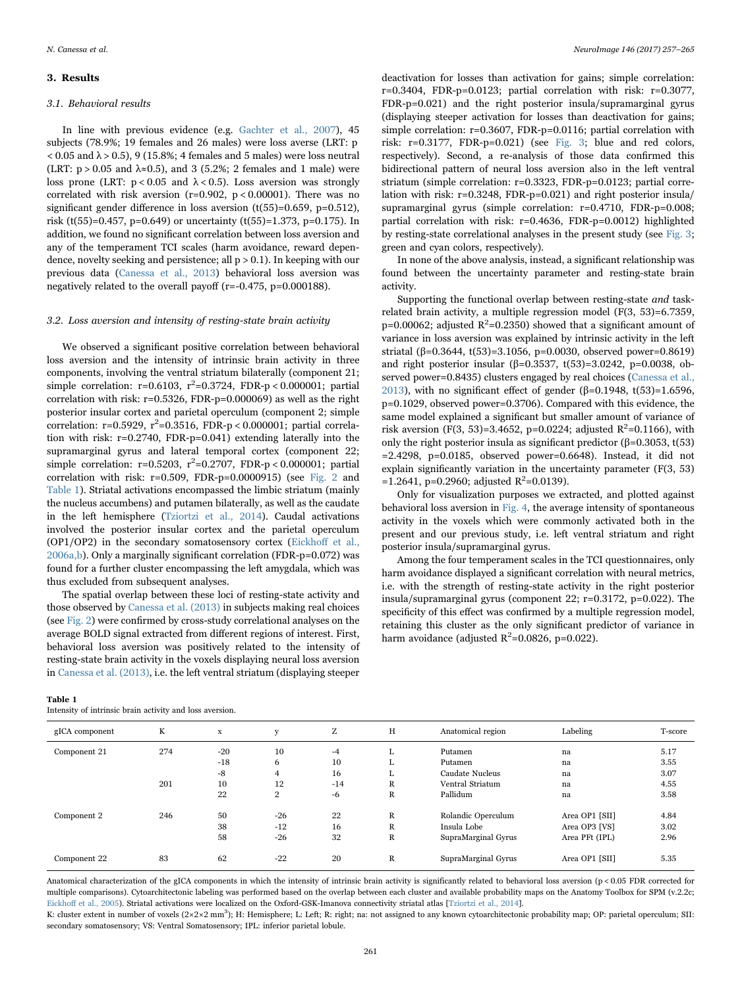#### 3. Results

#### 3.1. Behavioral results

In line with previous evidence (e.g. [Gachter et al., 2007\)](#page-7-4), 45 subjects (78.9%; 19 females and 26 males) were loss averse (LRT: p  $< 0.05$  and  $\lambda > 0.5$ ), 9 (15.8%; 4 females and 5 males) were loss neutral (LRT:  $p > 0.05$  and  $\lambda \approx 0.5$ ), and 3 (5.2%; 2 females and 1 male) were loss prone (LRT:  $p < 0.05$  and  $\lambda < 0.5$ ). Loss aversion was strongly correlated with risk aversion ( $r=0.902$ ,  $p < 0.00001$ ). There was no significant gender difference in loss aversion (t(55)=0.659, p=0.512). risk (t(55)=0.457, p=0.649) or uncertainty (t(55)=1.373, p=0.175). In addition, we found no significant correlation between loss aversion and any of the temperament TCI scales (harm avoidance, reward dependence, novelty seeking and persistence; all  $p > 0.1$ ). In keeping with our previous data ([Canessa et al., 2013](#page-7-5)) behavioral loss aversion was negatively related to the overall payoff (r=-0.475, p=0.000188).

# 3.2. Loss aversion and intensity of resting-state brain activity

We observed a significant positive correlation between behavioral loss aversion and the intensity of intrinsic brain activity in three components, involving the ventral striatum bilaterally (component 21;  $simple\,\, correlation:\,\, r = 0.6103,\,\, r^2 = 0.3724,\,\, FDR-p < 0.000001;\,\, partial$ correlation with risk: r=0.5326, FDR-p=0.000069) as well as the right posterior insular cortex and parietal operculum (component 2; simple correlation:  $r=0.5929$ ,  $r^2=0.3516$ ,  $FDR-p < 0.000001$ ; partial correlation with risk: r=0.2740, FDR-p=0.041) extending laterally into the supramarginal gyrus and lateral temporal cortex (component 22;  $simple\,\, correlation: \,\, r = 0.5203, \,\, r^2 = 0.2707, \,\, FDR-p < 0.000001; \,\, partial$ correlation with risk: r=0.509, FDR-p=0.0000915) (see [Fig. 2](#page-3-0) and [Table 1](#page-4-0)). Striatal activations encompassed the limbic striatum (mainly the nucleus accumbens) and putamen bilaterally, as well as the caudate in the left hemisphere ([Tziortzi et al., 2014](#page-8-8)). Caudal activations involved the posterior insular cortex and the parietal operculum (OP1/OP2) in the secondary somatosensory cortex ([Eickho](#page-7-29)ff et al., [2006a,b](#page-7-29)). Only a marginally significant correlation (FDR-p=0.072) was found for a further cluster encompassing the left amygdala, which was thus excluded from subsequent analyses.

The spatial overlap between these loci of resting-state activity and those observed by [Canessa et al. \(2013\)](#page-7-5) in subjects making real choices (see [Fig. 2](#page-3-0)) were confirmed by cross-study correlational analyses on the average BOLD signal extracted from different regions of interest. First, behavioral loss aversion was positively related to the intensity of resting-state brain activity in the voxels displaying neural loss aversion in [Canessa et al. \(2013\),](#page-7-5) i.e. the left ventral striatum (displaying steeper

deactivation for losses than activation for gains; simple correlation: r=0.3404, FDR-p=0.0123; partial correlation with risk: r=0.3077, FDR-p=0.021) and the right posterior insula/supramarginal gyrus (displaying steeper activation for losses than deactivation for gains; simple correlation: r=0.3607, FDR-p=0.0116; partial correlation with risk: r=0.3177, FDR-p=0.021) (see [Fig. 3](#page-5-0); blue and red colors, respectively). Second, a re-analysis of those data confirmed this bidirectional pattern of neural loss aversion also in the left ventral striatum (simple correlation: r=0.3323, FDR-p=0.0123; partial correlation with risk: r=0.3248, FDR-p=0.021) and right posterior insula/ supramarginal gyrus (simple correlation: r=0.4710, FDR-p=0.008; partial correlation with risk: r=0.4636, FDR-p=0.0012) highlighted by resting-state correlational analyses in the present study (see [Fig. 3](#page-5-0); green and cyan colors, respectively).

In none of the above analysis, instead, a significant relationship was found between the uncertainty parameter and resting-state brain activity.

Supporting the functional overlap between resting-state and taskrelated brain activity, a multiple regression model (F(3, 53)=6.7359,  $p=0.00062$ ; adjusted  $R^2=0.2350$ ) showed that a significant amount of variance in loss aversion was explained by intrinsic activity in the left striatal (β=0.3644, t(53)=3.1056, p=0.0030, observed power=0.8619) and right posterior insular (β=0.3537, t(53)=3.0242, p=0.0038, observed power=0.8435) clusters engaged by real choices [\(Canessa et al.,](#page-7-5) [2013\)](#page-7-5), with no significant effect of gender (β=0.1948, t(53)=1.6596, p=0.1029, observed power=0.3706). Compared with this evidence, the same model explained a significant but smaller amount of variance of risk aversion (F(3, 53)=3.4652, p=0.0224; adjusted  $R^2$ =0.1166), with only the right posterior insula as significant predictor (β=0.3053, t(53) =2.4298, p=0.0185, observed power=0.6648). Instead, it did not explain significantly variation in the uncertainty parameter (F(3, 53)  $=1.2641$ , p=0.2960; adjusted R<sup>2</sup>=0.0139).

Only for visualization purposes we extracted, and plotted against behavioral loss aversion in [Fig. 4](#page-5-1), the average intensity of spontaneous activity in the voxels which were commonly activated both in the present and our previous study, i.e. left ventral striatum and right posterior insula/supramarginal gyrus.

Among the four temperament scales in the TCI questionnaires, only harm avoidance displayed a significant correlation with neural metrics, i.e. with the strength of resting-state activity in the right posterior insula/supramarginal gyrus (component 22; r=0.3172, p=0.022). The specificity of this effect was confirmed by a multiple regression model, retaining this cluster as the only significant predictor of variance in harm avoidance (adjusted  $R^2$ =0.0826, p=0.022).

#### <span id="page-4-0"></span>Table 1

Intensity of intrinsic brain activity and loss aversion.

| gICA component | K   | x     | v              | Z     | Η  | Anatomical region   | Labeling       | T-score |
|----------------|-----|-------|----------------|-------|----|---------------------|----------------|---------|
| Component 21   | 274 | $-20$ | 10             | $-4$  | л. | Putamen             | na             | 5.17    |
|                |     | $-18$ | 6              | 10    | L. | Putamen             | na             | 3.55    |
|                |     | $-8$  | 4              | 16    | L. | Caudate Nucleus     | na             | 3.07    |
|                | 201 | 10    | 12             | $-14$ | R  | Ventral Striatum    | na             | 4.55    |
|                |     | 22    | $\overline{2}$ | $-6$  | R  | Pallidum            | na             | 3.58    |
| Component 2    | 246 | 50    | $-26$          | 22    | R  | Rolandic Operculum  | Area OP1 [SII] | 4.84    |
|                |     | 38    | $-12$          | 16    | R  | Insula Lobe         | Area OP3 [VS]  | 3.02    |
|                |     | 58    | $-26$          | 32    | R  | SupraMarginal Gyrus | Area PFt (IPL) | 2.96    |
| Component 22   | 83  | 62    | $-22$          | 20    | R  | SupraMarginal Gyrus | Area OP1 [SII] | 5.35    |
|                |     |       |                |       |    |                     |                |         |

Anatomical characterization of the gICA components in which the intensity of intrinsic brain activity is significantly related to behavioral loss aversion (p < 0.05 FDR corrected for multiple comparisons). Cytoarchitectonic labeling was performed based on the overlap between each cluster and available probability maps on the Anatomy Toolbox for SPM (v.2.2c; Eickhoff [et al., 2005\)](#page-7-24). Striatal activations were localized on the Oxford-GSK-Imanova connectivity striatal atlas [\[Tziortzi et al., 2014\]](#page-8-8).

K: cluster extent in number of voxels (2×2×2 mm<sup>3</sup>); H: Hemisphere; L: Left; R: right; na: not assigned to any known cytoarchitectonic probability map; OP: parietal operculum; SII: secondary somatosensory; VS: Ventral Somatosensory; IPL: inferior parietal lobule.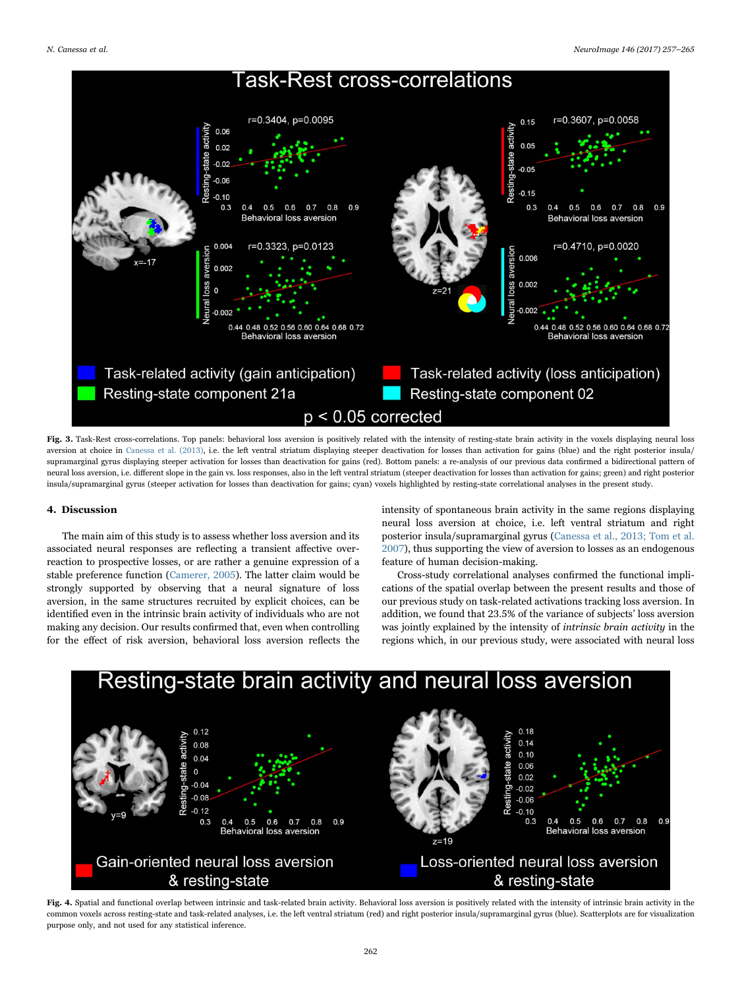<span id="page-5-0"></span>

Fig. 3. Task-Rest cross-correlations. Top panels: behavioral loss aversion is positively related with the intensity of resting-state brain activity in the voxels displaying neural loss aversion at choice in [Canessa et al. \(2013\)](#page-7-5), i.e. the left ventral striatum displaying steeper deactivation for losses than activation for gains (blue) and the right posterior insula/ supramarginal gyrus displaying steeper activation for losses than deactivation for gains (red). Bottom panels: a re-analysis of our previous data confirmed a bidirectional pattern of neural loss aversion, i.e. different slope in the gain vs. loss responses, also in the left ventral striatum (steeper deactivation for losses than activation for gains; green) and right posterior insula/supramarginal gyrus (steeper activation for losses than deactivation for gains; cyan) voxels highlighted by resting-state correlational analyses in the present study.

#### 4. Discussion

The main aim of this study is to assess whether loss aversion and its associated neural responses are reflecting a transient affective overreaction to prospective losses, or are rather a genuine expression of a stable preference function [\(Camerer, 2005](#page-7-12)). The latter claim would be strongly supported by observing that a neural signature of loss aversion, in the same structures recruited by explicit choices, can be identified even in the intrinsic brain activity of individuals who are not making any decision. Our results confirmed that, even when controlling for the effect of risk aversion, behavioral loss aversion reflects the

intensity of spontaneous brain activity in the same regions displaying neural loss aversion at choice, i.e. left ventral striatum and right posterior insula/supramarginal gyrus [\(Canessa et al., 2013; Tom et al.](#page-7-5) [2007\)](#page-7-5), thus supporting the view of aversion to losses as an endogenous feature of human decision-making.

Cross-study correlational analyses confirmed the functional implications of the spatial overlap between the present results and those of our previous study on task-related activations tracking loss aversion. In addition, we found that 23.5% of the variance of subjects' loss aversion was jointly explained by the intensity of intrinsic brain activity in the regions which, in our previous study, were associated with neural loss

<span id="page-5-1"></span>

Fig. 4. Spatial and functional overlap between intrinsic and task-related brain activity. Behavioral loss aversion is positively related with the intensity of intrinsic brain activity in the common voxels across resting-state and task-related analyses, i.e. the left ventral striatum (red) and right posterior insula/supramarginal gyrus (blue). Scatterplots are for visualization purpose only, and not used for any statistical inference.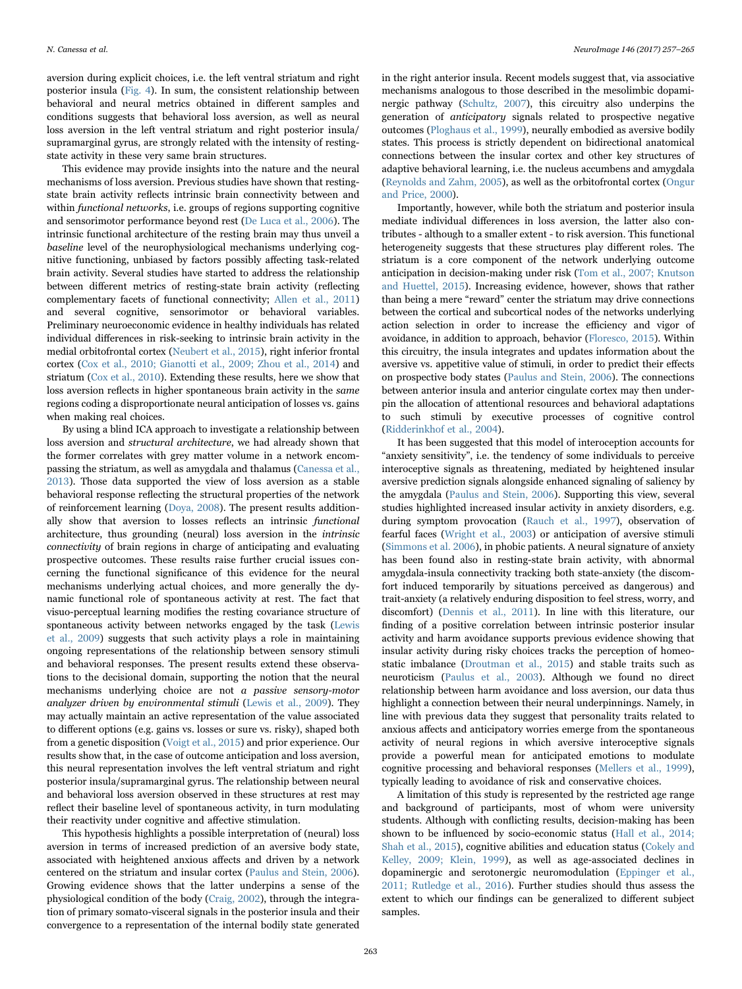aversion during explicit choices, i.e. the left ventral striatum and right posterior insula [\(Fig. 4](#page-5-1)). In sum, the consistent relationship between behavioral and neural metrics obtained in different samples and conditions suggests that behavioral loss aversion, as well as neural loss aversion in the left ventral striatum and right posterior insula/ supramarginal gyrus, are strongly related with the intensity of restingstate activity in these very same brain structures.

This evidence may provide insights into the nature and the neural mechanisms of loss aversion. Previous studies have shown that restingstate brain activity reflects intrinsic brain connectivity between and within functional networks, i.e. groups of regions supporting cognitive and sensorimotor performance beyond rest ([De Luca et al., 2006\)](#page-7-14). The intrinsic functional architecture of the resting brain may thus unveil a baseline level of the neurophysiological mechanisms underlying cognitive functioning, unbiased by factors possibly affecting task-related brain activity. Several studies have started to address the relationship between different metrics of resting-state brain activity (reflecting complementary facets of functional connectivity; [Allen et al., 2011\)](#page-7-18) and several cognitive, sensorimotor or behavioral variables. Preliminary neuroeconomic evidence in healthy individuals has related individual differences in risk-seeking to intrinsic brain activity in the medial orbitofrontal cortex ([Neubert et al., 2015](#page-7-30)), right inferior frontal cortex [\(Cox et al., 2010; Gianotti et al., 2009; Zhou et al., 2014](#page-7-31)) and striatum [\(Cox et al., 2010\)](#page-7-31). Extending these results, here we show that loss aversion reflects in higher spontaneous brain activity in the same regions coding a disproportionate neural anticipation of losses vs. gains when making real choices.

By using a blind ICA approach to investigate a relationship between loss aversion and structural architecture, we had already shown that the former correlates with grey matter volume in a network encompassing the striatum, as well as amygdala and thalamus ([Canessa et al.,](#page-7-5) [2013\)](#page-7-5). Those data supported the view of loss aversion as a stable behavioral response reflecting the structural properties of the network of reinforcement learning [\(Doya, 2008](#page-7-6)). The present results additionally show that aversion to losses reflects an intrinsic functional architecture, thus grounding (neural) loss aversion in the intrinsic connectivity of brain regions in charge of anticipating and evaluating prospective outcomes. These results raise further crucial issues concerning the functional significance of this evidence for the neural mechanisms underlying actual choices, and more generally the dynamic functional role of spontaneous activity at rest. The fact that visuo-perceptual learning modifies the resting covariance structure of spontaneous activity between networks engaged by the task [\(Lewis](#page-7-32) [et al., 2009](#page-7-32)) suggests that such activity plays a role in maintaining ongoing representations of the relationship between sensory stimuli and behavioral responses. The present results extend these observations to the decisional domain, supporting the notion that the neural mechanisms underlying choice are not a passive sensory-motor analyzer driven by environmental stimuli ([Lewis et al., 2009\)](#page-7-32). They may actually maintain an active representation of the value associated to different options (e.g. gains vs. losses or sure vs. risky), shaped both from a genetic disposition ([Voigt et al., 2015](#page-8-9)) and prior experience. Our results show that, in the case of outcome anticipation and loss aversion, this neural representation involves the left ventral striatum and right posterior insula/supramarginal gyrus. The relationship between neural and behavioral loss aversion observed in these structures at rest may reflect their baseline level of spontaneous activity, in turn modulating their reactivity under cognitive and affective stimulation.

This hypothesis highlights a possible interpretation of (neural) loss aversion in terms of increased prediction of an aversive body state, associated with heightened anxious affects and driven by a network centered on the striatum and insular cortex [\(Paulus and Stein, 2006\)](#page-8-10). Growing evidence shows that the latter underpins a sense of the physiological condition of the body ([Craig, 2002\)](#page-7-33), through the integration of primary somato-visceral signals in the posterior insula and their convergence to a representation of the internal bodily state generated

in the right anterior insula. Recent models suggest that, via associative mechanisms analogous to those described in the mesolimbic dopaminergic pathway ([Schultz, 2007\)](#page-8-11), this circuitry also underpins the generation of anticipatory signals related to prospective negative outcomes ([Ploghaus et al., 1999\)](#page-8-12), neurally embodied as aversive bodily states. This process is strictly dependent on bidirectional anatomical connections between the insular cortex and other key structures of adaptive behavioral learning, i.e. the nucleus accumbens and amygdala ([Reynolds and Zahm, 2005](#page-8-13)), as well as the orbitofrontal cortex [\(Ongur](#page-7-34) [and Price, 2000](#page-7-34)).

Importantly, however, while both the striatum and posterior insula mediate individual differences in loss aversion, the latter also contributes - although to a smaller extent - to risk aversion. This functional heterogeneity suggests that these structures play different roles. The striatum is a core component of the network underlying outcome anticipation in decision-making under risk [\(Tom et al., 2007; Knutson](#page-8-2) [and Huettel, 2015](#page-8-2)). Increasing evidence, however, shows that rather than being a mere "reward" center the striatum may drive connections between the cortical and subcortical nodes of the networks underlying action selection in order to increase the efficiency and vigor of avoidance, in addition to approach, behavior ([Floresco, 2015](#page-7-35)). Within this circuitry, the insula integrates and updates information about the aversive vs. appetitive value of stimuli, in order to predict their effects on prospective body states ([Paulus and Stein, 2006](#page-8-10)). The connections between anterior insula and anterior cingulate cortex may then underpin the allocation of attentional resources and behavioral adaptations to such stimuli by executive processes of cognitive control ([Ridderinkhof et al., 2004\)](#page-8-14).

It has been suggested that this model of interoception accounts for "anxiety sensitivity", i.e. the tendency of some individuals to perceive interoceptive signals as threatening, mediated by heightened insular aversive prediction signals alongside enhanced signaling of saliency by the amygdala ([Paulus and Stein, 2006\)](#page-8-10). Supporting this view, several studies highlighted increased insular activity in anxiety disorders, e.g. during symptom provocation (Rauch [et al., 1997\)](#page-8-15), observation of fearful faces [\(Wright et al., 2003](#page-8-16)) or anticipation of aversive stimuli ([Simmons et al. 2006\)](#page-8-17), in phobic patients. A neural signature of anxiety has been found also in resting-state brain activity, with abnormal amygdala-insula connectivity tracking both state-anxiety (the discomfort induced temporarily by situations perceived as dangerous) and trait-anxiety (a relatively enduring disposition to feel stress, worry, and discomfort) [\(Dennis et al., 2011\)](#page-7-36). In line with this literature, our finding of a positive correlation between intrinsic posterior insular activity and harm avoidance supports previous evidence showing that insular activity during risky choices tracks the perception of homeostatic imbalance [\(Droutman et al., 2015](#page-7-37)) and stable traits such as neuroticism [\(Paulus et al., 2003\)](#page-8-18). Although we found no direct relationship between harm avoidance and loss aversion, our data thus highlight a connection between their neural underpinnings. Namely, in line with previous data they suggest that personality traits related to anxious affects and anticipatory worries emerge from the spontaneous activity of neural regions in which aversive interoceptive signals provide a powerful mean for anticipated emotions to modulate cognitive processing and behavioral responses [\(Mellers et al., 1999\)](#page-7-38), typically leading to avoidance of risk and conservative choices.

A limitation of this study is represented by the restricted age range and background of participants, most of whom were university students. Although with conflicting results, decision-making has been shown to be influenced by socio-economic status [\(Hall et al., 2014;](#page-7-39) [Shah et al., 2015\)](#page-7-39), cognitive abilities and education status [\(Cokely and](#page-7-40) [Kelley, 2009; Klein, 1999](#page-7-40)), as well as age-associated declines in dopaminergic and serotonergic neuromodulation ([Eppinger et al.,](#page-7-41) [2011; Rutledge et al., 2016\)](#page-7-41). Further studies should thus assess the extent to which our findings can be generalized to different subject samples.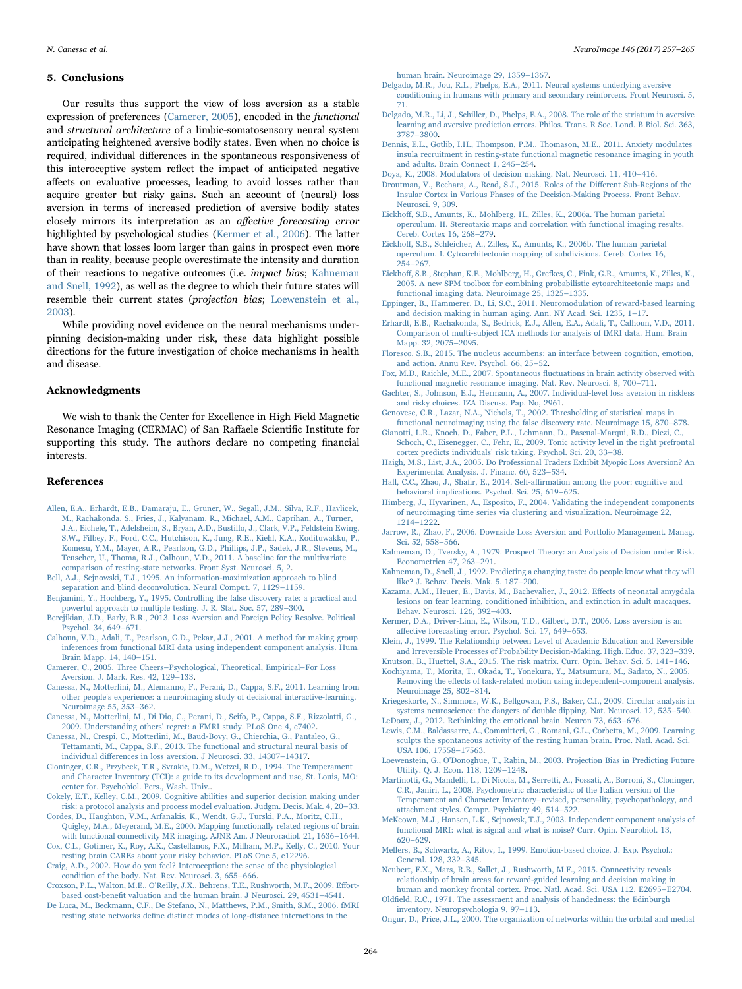#### 5. Conclusions

Our results thus support the view of loss aversion as a stable expression of preferences ([Camerer, 2005\)](#page-7-12), encoded in the functional and structural architecture of a limbic-somatosensory neural system anticipating heightened aversive bodily states. Even when no choice is required, individual differences in the spontaneous responsiveness of this interoceptive system reflect the impact of anticipated negative affects on evaluative processes, leading to avoid losses rather than acquire greater but risky gains. Such an account of (neural) loss aversion in terms of increased prediction of aversive bodily states closely mirrors its interpretation as an affective forecasting error highlighted by psychological studies ([Kermer et al., 2006](#page-7-42)). The latter have shown that losses loom larger than gains in prospect even more than in reality, because people overestimate the intensity and duration of their reactions to negative outcomes (i.e. impact bias; [Kahneman](#page-7-43) [and Snell, 1992](#page-7-43)), as well as the degree to which their future states will resemble their current states (projection bias; [Loewenstein et al.,](#page-7-44) [2003\)](#page-7-44).

While providing novel evidence on the neural mechanisms underpinning decision-making under risk, these data highlight possible directions for the future investigation of choice mechanisms in health and disease.

## Acknowledgments

We wish to thank the Center for Excellence in High Field Magnetic Resonance Imaging (CERMAC) of San Raffaele Scientific Institute for supporting this study. The authors declare no competing financial interests.

#### References

- <span id="page-7-18"></span>[Allen, E.A., Erhardt, E.B., Damaraju, E., Gruner, W., Segall, J.M., Silva, R.F., Havlicek,](http://refhub.elsevier.com/S1053-16)30666-sbref1) [M., Rachakonda, S., Fries, J., Kalyanam, R., Michael, A.M., Caprihan, A., Turner,](http://refhub.elsevier.com/S1053-16)30666-sbref1) [J.A., Eichele, T., Adelsheim, S., Bryan, A.D., Bustillo, J., Clark, V.P., Feldstein Ewing,](http://refhub.elsevier.com/S1053-16)30666-sbref1) [S.W., Filbey, F., Ford, C.C., Hutchison, K., Jung, R.E., Kiehl, K.A., Kodituwakku, P.,](http://refhub.elsevier.com/S1053-16)30666-sbref1) [Komesu, Y.M., Mayer, A.R., Pearlson, G.D., Phillips, J.P., Sadek, J.R., Stevens, M.,](http://refhub.elsevier.com/S1053-16)30666-sbref1) [Teuscher, U., Thoma, R.J., Calhoun, V.D., 2011. A baseline for the multivariate](http://refhub.elsevier.com/S1053-16)30666-sbref1) [comparison of resting-state networks. Front Syst. Neurosci. 5, 2](http://refhub.elsevier.com/S1053-16)30666-sbref1).
- <span id="page-7-21"></span>[Bell, A.J., Sejnowski, T.J., 1995. An information-maximization approach to blind](http://refhub.elsevier.com/S1053-16)30666-sbref2) [separation and blind deconvolution. Neural Comput. 7, 1129](http://refhub.elsevier.com/S1053-16)30666-sbref2)–1159.
- <span id="page-7-28"></span>[Benjamini, Y., Hochberg, Y., 1995. Controlling the false discovery rate: a practical and](http://refhub.elsevier.com/S1053-16)30666-sbref3) [powerful approach to multiple testing. J. R. Stat. Soc. 57, 289](http://refhub.elsevier.com/S1053-16)30666-sbref3)–300.
- <span id="page-7-3"></span>[Berejikian, J.D., Early, B.R., 2013. Loss Aversion and Foreign Policy Resolve. Political](http://refhub.elsevier.com/S1053-16)30666-sbref4) [Psychol. 34, 649](http://refhub.elsevier.com/S1053-16)30666-sbref4)–671.
- <span id="page-7-19"></span>[Calhoun, V.D., Adali, T., Pearlson, G.D., Pekar, J.J., 2001. A method for making group](http://refhub.elsevier.com/S1053-16)30666-sbref5) [inferences from functional MRI data using independent component analysis. Hum.](http://refhub.elsevier.com/S1053-16)30666-sbref5) [Brain Mapp. 14, 140](http://refhub.elsevier.com/S1053-16)30666-sbref5)–151.
- <span id="page-7-12"></span>Camerer, C., 2005. Three Cheers–[Psychological, Theoretical, Empirical](http://refhub.elsevier.com/S1053-16)30666-sbref6)–For Loss [Aversion. J. Mark. Res. 42, 129](http://refhub.elsevier.com/S1053-16)30666-sbref6)–133.
- [Canessa, N., Motterlini, M., Alemanno, F., Perani, D., Cappa, S.F., 2011. Learning from](http://refhub.elsevier.com/S1053-16)30666-sbref7) [other people's experience: a neuroimaging study of decisional interactive-learning.](http://refhub.elsevier.com/S1053-16)30666-sbref7) [Neuroimage 55, 353](http://refhub.elsevier.com/S1053-16)30666-sbref7)–362.
- <span id="page-7-8"></span>[Canessa, N., Motterlini, M., Di Dio, C., Perani, D., Scifo, P., Cappa, S.F., Rizzolatti, G.,](http://refhub.elsevier.com/S1053-16)30666-sbref8) [2009. Understanding others' regret: a FMRI study. PLoS One 4, e7402](http://refhub.elsevier.com/S1053-16)30666-sbref8).
- <span id="page-7-5"></span>[Canessa, N., Crespi, C., Motterlini, M., Baud-Bovy, G., Chierchia, G., Pantaleo, G.,](http://refhub.elsevier.com/S1053-16)30666-sbref9) [Tettamanti, M., Cappa, S.F., 2013. The functional and structural neural basis of](http://refhub.elsevier.com/S1053-16)30666-sbref9) individual diff[erences in loss aversion. J Neurosci. 33, 14307](http://refhub.elsevier.com/S1053-16)30666-sbref9)–14317.
- <span id="page-7-16"></span>[Cloninger, C.R., Przybeck, T.R., Svrakic, D.M., Wetzel, R.D., 1994. The Temperament](http://refhub.elsevier.com/S1053-16)30666-sbref10) [and Character Inventory \(TCI\): a guide to its development and use, St. Louis, MO:](http://refhub.elsevier.com/S1053-16)30666-sbref10) [center for. Psychobiol. Pers., Wash. Univ..](http://refhub.elsevier.com/S1053-16)30666-sbref10)
- <span id="page-7-40"></span>[Cokely, E.T., Kelley, C.M., 2009. Cognitive abilities and superior decision making under](http://refhub.elsevier.com/S1053-16)30666-sbref11) [risk: a protocol analysis and process model evaluation. Judgm. Decis. Mak. 4, 20](http://refhub.elsevier.com/S1053-16)30666-sbref11)–33.
- <span id="page-7-23"></span>[Cordes, D., Haughton, V.M., Arfanakis, K., Wendt, G.J., Turski, P.A., Moritz, C.H.,](http://refhub.elsevier.com/S1053-16)30666-sbref12) [Quigley, M.A., Meyerand, M.E., 2000. Mapping functionally related regions of brain](http://refhub.elsevier.com/S1053-16)30666-sbref12) [with functional connectivity MR imaging. AJNR Am. J Neuroradiol. 21, 1636](http://refhub.elsevier.com/S1053-16)30666-sbref12)–1644.
- <span id="page-7-31"></span>[Cox, C.L., Gotimer, K., Roy, A.K., Castellanos, F.X., Milham, M.P., Kelly, C., 2010. Your](http://refhub.elsevier.com/S1053-16)30666-sbref13) [resting brain CAREs about your risky behavior. PLoS One 5, e12296.](http://refhub.elsevier.com/S1053-16)30666-sbref13) [Craig, A.D., 2002. How do you feel? Interoception: the sense of the physiological](http://refhub.elsevier.com/S1053-16)30666-sbref14)
- <span id="page-7-33"></span>[condition of the body. Nat. Rev. Neurosci. 3, 655](http://refhub.elsevier.com/S1053-16)30666-sbref14)–666.
- <span id="page-7-9"></span>[Croxson, P.L., Walton, M.E., O'Reilly, J.X., Behrens, T.E., Rushworth, M.F., 2009. E](http://refhub.elsevier.com/S1053-16)30666-sbref15)ffortbased cost-benefi[t valuation and the human brain. J Neurosci. 29, 4531](http://refhub.elsevier.com/S1053-16)30666-sbref15)–4541.
- <span id="page-7-14"></span>[De Luca, M., Beckmann, C.F., De Stefano, N., Matthews, P.M., Smith, S.M., 2006. fMRI](http://refhub.elsevier.com/S1053-16)30666-sbref16) resting state networks defi[ne distinct modes of long-distance interactions in the](http://refhub.elsevier.com/S1053-16)30666-sbref16)

[human brain. Neuroimage 29, 1359](http://refhub.elsevier.com/S1053-16)30666-sbref16)–1367.

- <span id="page-7-10"></span>[Delgado, M.R., Jou, R.L., Phelps, E.A., 2011. Neural systems underlying aversive](http://refhub.elsevier.com/S1053-16)30666-sbref17) [conditioning in humans with primary and secondary reinforcers. Front Neurosci. 5,](http://refhub.elsevier.com/S1053-16)30666-sbref17) [71.](http://refhub.elsevier.com/S1053-16)30666-sbref17)
- [Delgado, M.R., Li, J., Schiller, D., Phelps, E.A., 2008. The role of the striatum in aversive](http://refhub.elsevier.com/S1053-16)30666-sbref18) [learning and aversive prediction errors. Philos. Trans. R Soc. Lond. B Biol. Sci. 363,](http://refhub.elsevier.com/S1053-16)30666-sbref18) 3787–[3800](http://refhub.elsevier.com/S1053-16)30666-sbref18).
- <span id="page-7-36"></span>Dennis, [E.L., Gotlib, I.H., Thompson, P.M., Thomason, M.E., 2011. Anxiety modulates](http://refhub.elsevier.com/S1053-16)30666-sbref19) [insula recruitment in resting-state functional magnetic resonance imaging in youth](http://refhub.elsevier.com/S1053-16)30666-sbref19) [and adults. Brain Connect 1, 245](http://refhub.elsevier.com/S1053-16)30666-sbref19)–254.
- <span id="page-7-6"></span>[Doya, K., 2008. Modulators of decision making. Nat. Neurosci. 11, 410](http://refhub.elsevier.com/S1053-16)30666-sbref20)–416.
- <span id="page-7-37"></span>[Droutman, V., Bechara, A., Read, S.J., 2015. Roles of the Di](http://refhub.elsevier.com/S1053-16)30666-sbref21)fferent Sub-Regions of the [Insular Cortex in Various Phases of the Decision-Making Process. Front Behav.](http://refhub.elsevier.com/S1053-16)30666-sbref21) [Neurosci. 9, 309.](http://refhub.elsevier.com/S1053-16)30666-sbref21)
- <span id="page-7-29"></span>Eickhoff[, S.B., Amunts, K., Mohlberg, H., Zilles, K., 2006a. The human parietal](http://refhub.elsevier.com/S1053-16)30666-sbref22) [operculum. II. Stereotaxic maps and correlation with functional imaging results.](http://refhub.elsevier.com/S1053-16)30666-sbref22) [Cereb. Cortex 16, 268](http://refhub.elsevier.com/S1053-16)30666-sbref22)–279.
- Eickhoff[, S.B., Schleicher, A., Zilles, K., Amunts, K., 2006b. The human parietal](http://refhub.elsevier.com/S1053-16)30666-sbref23) [operculum. I. Cytoarchitectonic mapping of subdivisions. Cereb. Cortex 16,](http://refhub.elsevier.com/S1053-16)30666-sbref23) 254–[267](http://refhub.elsevier.com/S1053-16)30666-sbref23).
- <span id="page-7-24"></span>Eickhoff[, S.B., Stephan, K.E., Mohlberg, H., Grefkes, C., Fink, G.R., Amunts, K., Zilles, K.,](http://refhub.elsevier.com/S1053-16)30666-sbref24) [2005. A new SPM toolbox for combining probabilistic cytoarchitectonic maps and](http://refhub.elsevier.com/S1053-16)30666-sbref24) [functional imaging data. Neuroimage 25, 1325](http://refhub.elsevier.com/S1053-16)30666-sbref24)–1335.
- <span id="page-7-41"></span>[Eppinger, B., Hammerer, D., Li, S.C., 2011. Neuromodulation of reward-based learning](http://refhub.elsevier.com/S1053-16)30666-sbref25) [and decision making in human aging. Ann. NY Acad. Sci. 1235, 1](http://refhub.elsevier.com/S1053-16)30666-sbref25)–17.
- <span id="page-7-20"></span>[Erhardt, E.B., Rachakonda, S., Bedrick, E.J., Allen, E.A., Adali, T., Calhoun, V.D., 2011.](http://refhub.elsevier.com/S1053-16)30666-sbref26) [Comparison of multi-subject ICA methods for analysis of fMRI data. Hum. Brain](http://refhub.elsevier.com/S1053-16)30666-sbref26) [Mapp. 32, 2075](http://refhub.elsevier.com/S1053-16)30666-sbref26)-2095.
- <span id="page-7-35"></span>[Floresco, S.B., 2015. The nucleus accumbens: an interface between cognition, emotion,](http://refhub.elsevier.com/S1053-16)30666-sbref27) [and action. Annu Rev. Psychol. 66, 25](http://refhub.elsevier.com/S1053-16)30666-sbref27)–52.
- <span id="page-7-13"></span>[Fox, M.D., Raichle, M.E., 2007. Spontaneous](http://refhub.elsevier.com/S1053-16)30666-sbref28) fluctuations in brain activity observed with [functional magnetic resonance imaging. Nat. Rev. Neurosci. 8, 700](http://refhub.elsevier.com/S1053-16)30666-sbref28)–711.
- <span id="page-7-4"></span>[Gachter, S., Johnson, E.J., Hermann, A., 2007. Individual-level loss aversion in riskless](http://refhub.elsevier.com/S1053-16)30666-sbref29) [and risky choices. IZA Discuss. Pap. No, 2961.](http://refhub.elsevier.com/S1053-16)30666-sbref29)
- <span id="page-7-26"></span>[Genovese, C.R., Lazar, N.A., Nichols, T., 2002. Thresholding of statistical maps in](http://refhub.elsevier.com/S1053-16)30666-sbref30) [functional neuroimaging using the false discovery rate. Neuroimage 15, 870](http://refhub.elsevier.com/S1053-16)30666-sbref30)–878.
- [Gianotti, L.R., Knoch, D., Faber, P.L., Lehmann, D., Pascual-Marqui, R.D., Diezi, C.,](http://refhub.elsevier.com/S1053-16)30666-sbref31) [Schoch, C., Eisenegger, C., Fehr, E., 2009. Tonic activity level in the right prefrontal](http://refhub.elsevier.com/S1053-16)30666-sbref31) [cortex predicts individuals' risk taking. Psychol. Sci. 20, 33](http://refhub.elsevier.com/S1053-16)30666-sbref31)–38.
- <span id="page-7-2"></span>[Haigh, M.S., List, J.A., 2005. Do Professional Traders Exhibit Myopic Loss Aversion? An](http://refhub.elsevier.com/S1053-16)30666-sbref32) [Experimental Analysis. J. Financ. 60, 523](http://refhub.elsevier.com/S1053-16)30666-sbref32)–534.
- <span id="page-7-39"></span>Hall, C.C., Zhao, J., Shafir, E., 2014. Self-affi[rmation among the poor: cognitive and](http://refhub.elsevier.com/S1053-16)30666-sbref33) [behavioral implications. Psychol. Sci. 25, 619](http://refhub.elsevier.com/S1053-16)30666-sbref33)–625.
- <span id="page-7-22"></span>[Himberg, J., Hyvarinen, A., Esposito, F., 2004. Validating the independent components](http://refhub.elsevier.com/S1053-16)30666-sbref34) [of neuroimaging time series via clustering and visualization. Neuroimage 22,](http://refhub.elsevier.com/S1053-16)30666-sbref34) 1214–[1222](http://refhub.elsevier.com/S1053-16)30666-sbref34).
- <span id="page-7-1"></span>[Jarrow, R., Zhao, F., 2006. Downside Loss Aversion and Portfolio Management. Manag.](http://refhub.elsevier.com/S1053-16)30666-sbref35) Sci. [52, 558](http://refhub.elsevier.com/S1053-16)30666-sbref35)–566.
- <span id="page-7-0"></span>[Kahneman, D., Tversky, A., 1979. Prospect Theory: an Analysis of Decision under Risk.](http://refhub.elsevier.com/S1053-16)30666-sbref36) [Econometrica 47, 263](http://refhub.elsevier.com/S1053-16)30666-sbref36)–291.
- <span id="page-7-43"></span>[Kahneman, D., Snell, J., 1992. Predicting a changing taste: do people know what they will](http://refhub.elsevier.com/S1053-16)30666-sbref37) [like? J. Behav. Decis. Mak. 5, 187](http://refhub.elsevier.com/S1053-16)30666-sbref37)–200.
- <span id="page-7-11"></span>[Kazama, A.M., Heuer, E., Davis, M., Bachevalier, J., 2012. E](http://refhub.elsevier.com/S1053-16)30666-sbref38)ffects of neonatal amygdala [lesions on fear learning, conditioned inhibition, and extinction in adult macaques.](http://refhub.elsevier.com/S1053-16)30666-sbref38) [Behav. Neurosci. 126, 392](http://refhub.elsevier.com/S1053-16)30666-sbref38)–403.
- <span id="page-7-42"></span>[Kermer, D.A., Driver-Linn, E., Wilson, T.D., Gilbert, D.T., 2006. Loss aversion is an](http://refhub.elsevier.com/S1053-16)30666-sbref39) aff[ective forecasting error. Psychol. Sci. 17, 649](http://refhub.elsevier.com/S1053-16)30666-sbref39)–653.
- [Klein, J., 1999. The Relationship between Level of Academic Education and Reversible](http://refhub.elsevier.com/S1053-16)30666-sbref40) [and Irreversible Processes of Probability Decision-Making. High. Educ. 37, 323](http://refhub.elsevier.com/S1053-16)30666-sbref40)–339.
- [Knutson, B., Huettel, S.A., 2015. The risk matrix. Curr. Opin. Behav. Sci. 5, 141](http://refhub.elsevier.com/S1053-16)30666-sbref41)–146.
- [Kochiyama, T., Morita, T., Okada, T., Yonekura, Y., Matsumura, M., Sadato, N., 2005.](http://refhub.elsevier.com/S1053-16)30666-sbref42) Removing the eff[ects of task-related motion using independent-component analysis.](http://refhub.elsevier.com/S1053-16)30666-sbref42) [Neuroimage 25, 802](http://refhub.elsevier.com/S1053-16)30666-sbref42)–814.
- <span id="page-7-27"></span>[Kriegeskorte, N., Simmons, W.K., Bellgowan, P.S., Baker, C.I., 2009. Circular analysis in](http://refhub.elsevier.com/S1053-16)30666-sbref43) [systems neuroscience: the dangers of double dipping. Nat. Neurosci. 12, 535](http://refhub.elsevier.com/S1053-16)30666-sbref43)–540. [LeDoux, J., 2012. Rethinking the emotional brain. Neuron 73, 653](http://refhub.elsevier.com/S1053-16)30666-sbref44)–676.
- <span id="page-7-32"></span><span id="page-7-7"></span>[Lewis, C.M., Baldassarre, A., Committeri, G., Romani, G.L., Corbetta, M., 2009. Learning](http://refhub.elsevier.com/S1053-16)30666-sbref45) [sculpts the spontaneous activity of the resting human brain. Proc. Natl. Acad. Sci.](http://refhub.elsevier.com/S1053-16)30666-sbref45) [USA 106, 17558](http://refhub.elsevier.com/S1053-16)30666-sbref45)–17563.
- <span id="page-7-44"></span>[Loewenstein, G., O'Donoghue, T., Rabin, M., 2003. Projection Bias in Predicting Future](http://refhub.elsevier.com/S1053-16)30666-sbref46) [Utility. Q. J. Econ. 118, 1209](http://refhub.elsevier.com/S1053-16)30666-sbref46)–1248.
- <span id="page-7-17"></span>[Martinotti, G., Mandelli, L., Di Nicola, M., Serretti, A., Fossati, A., Borroni, S., Cloninger,](http://refhub.elsevier.com/S1053-16)30666-sbref47) [C.R., Janiri, L., 2008. Psychometric characteristic of the Italian version of the](http://refhub.elsevier.com/S1053-16)30666-sbref47) Temperament and Character Inventory–[revised, personality, psychopathology, and](http://refhub.elsevier.com/S1053-16)30666-sbref47) [attachment styles. Compr. Psychiatry 49, 514](http://refhub.elsevier.com/S1053-16)30666-sbref47)–522.
- <span id="page-7-25"></span>[McKeown, M.J., Hansen, L.K., Sejnowsk, T.J., 2003. Independent component analysis of](http://refhub.elsevier.com/S1053-16)30666-sbref48) [functional MRI: what is signal and what is noise? Curr. Opin. Neurobiol. 13,](http://refhub.elsevier.com/S1053-16)30666-sbref48) 620–[629](http://refhub.elsevier.com/S1053-16)30666-sbref48).
- <span id="page-7-38"></span>[Mellers, B., Schwartz, A., Ritov, I., 1999. Emotion-based choice. J. Exp. Psychol.:](http://refhub.elsevier.com/S1053-16)30666-sbref49) [General. 128, 332](http://refhub.elsevier.com/S1053-16)30666-sbref49)–345.
- <span id="page-7-30"></span>[Neubert, F.X., Mars, R.B., Sallet, J., Rushworth, M.F., 2015. Connectivity reveals](http://refhub.elsevier.com/S1053-16)30666-sbref50) [relationship of brain areas for reward-guided learning and decision making in](http://refhub.elsevier.com/S1053-16)30666-sbref50) [human and monkey frontal cortex. Proc. Natl. Acad. Sci. USA 112, E2695](http://refhub.elsevier.com/S1053-16)30666-sbref50)–E2704.
- <span id="page-7-15"></span>Oldfi[eld, R.C., 1971. The assessment and analysis of handedness: the Edinburgh](http://refhub.elsevier.com/S1053-16)30666-sbref51) [inventory. Neuropsychologia 9, 97](http://refhub.elsevier.com/S1053-16)30666-sbref51)–113.
- <span id="page-7-34"></span>[Ongur, D., Price, J.L., 2000. The organization of networks within the orbital and medial](http://refhub.elsevier.com/S1053-16)30666-sbref52)